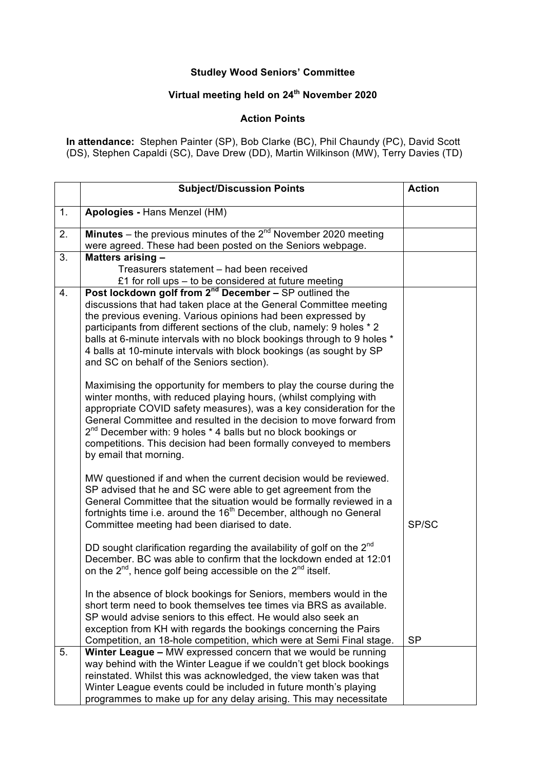## **Studley Wood Seniors' Committee**

## **Virtual meeting held on 24th November 2020**

## **Action Points**

**In attendance:** Stephen Painter (SP), Bob Clarke (BC), Phil Chaundy (PC), David Scott (DS), Stephen Capaldi (SC), Dave Drew (DD), Martin Wilkinson (MW), Terry Davies (TD)

|    | <b>Subject/Discussion Points</b>                                                                                                                                                                                                                                                                                                                                                                                                                                         | <b>Action</b> |
|----|--------------------------------------------------------------------------------------------------------------------------------------------------------------------------------------------------------------------------------------------------------------------------------------------------------------------------------------------------------------------------------------------------------------------------------------------------------------------------|---------------|
| 1. | Apologies - Hans Menzel (HM)                                                                                                                                                                                                                                                                                                                                                                                                                                             |               |
| 2. | <b>Minutes</b> – the previous minutes of the $2^{nd}$ November 2020 meeting<br>were agreed. These had been posted on the Seniors webpage.                                                                                                                                                                                                                                                                                                                                |               |
| 3. | Matters arising -<br>Treasurers statement - had been received<br>£1 for roll ups - to be considered at future meeting                                                                                                                                                                                                                                                                                                                                                    |               |
| 4. | Post lockdown golf from $2^{nd}$ December – SP outlined the<br>discussions that had taken place at the General Committee meeting<br>the previous evening. Various opinions had been expressed by<br>participants from different sections of the club, namely: 9 holes * 2<br>balls at 6-minute intervals with no block bookings through to 9 holes *<br>4 balls at 10-minute intervals with block bookings (as sought by SP<br>and SC on behalf of the Seniors section). |               |
|    | Maximising the opportunity for members to play the course during the<br>winter months, with reduced playing hours, (whilst complying with<br>appropriate COVID safety measures), was a key consideration for the<br>General Committee and resulted in the decision to move forward from<br>$2^{nd}$ December with: 9 holes $*$ 4 balls but no block bookings or<br>competitions. This decision had been formally conveyed to members<br>by email that morning.           |               |
|    | MW questioned if and when the current decision would be reviewed.<br>SP advised that he and SC were able to get agreement from the<br>General Committee that the situation would be formally reviewed in a<br>fortnights time i.e. around the 16 <sup>th</sup> December, although no General<br>Committee meeting had been diarised to date.                                                                                                                             | SP/SC         |
|    | DD sought clarification regarding the availability of golf on the 2 <sup>nd</sup><br>December. BC was able to confirm that the lockdown ended at 12:01<br>on the $2^{nd}$ , hence golf being accessible on the $2^{nd}$ itself.                                                                                                                                                                                                                                          |               |
|    | In the absence of block bookings for Seniors, members would in the<br>short term need to book themselves tee times via BRS as available.<br>SP would advise seniors to this effect. He would also seek an<br>exception from KH with regards the bookings concerning the Pairs<br>Competition, an 18-hole competition, which were at Semi Final stage.                                                                                                                    | <b>SP</b>     |
| 5. | Winter League - MW expressed concern that we would be running<br>way behind with the Winter League if we couldn't get block bookings<br>reinstated. Whilst this was acknowledged, the view taken was that<br>Winter League events could be included in future month's playing<br>programmes to make up for any delay arising. This may necessitate                                                                                                                       |               |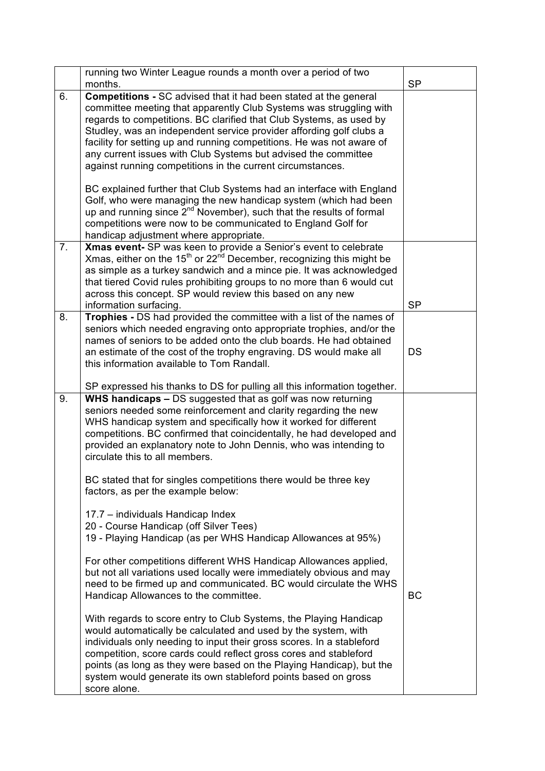|    | running two Winter League rounds a month over a period of two<br>months.                                                                                                                                                                                                                                                                                                                                                                                                                                                                                                | <b>SP</b> |
|----|-------------------------------------------------------------------------------------------------------------------------------------------------------------------------------------------------------------------------------------------------------------------------------------------------------------------------------------------------------------------------------------------------------------------------------------------------------------------------------------------------------------------------------------------------------------------------|-----------|
| 6. | <b>Competitions - SC advised that it had been stated at the general</b><br>committee meeting that apparently Club Systems was struggling with<br>regards to competitions. BC clarified that Club Systems, as used by<br>Studley, was an independent service provider affording golf clubs a<br>facility for setting up and running competitions. He was not aware of<br>any current issues with Club Systems but advised the committee<br>against running competitions in the current circumstances.                                                                    |           |
|    | BC explained further that Club Systems had an interface with England<br>Golf, who were managing the new handicap system (which had been<br>up and running since 2 <sup>nd</sup> November), such that the results of formal<br>competitions were now to be communicated to England Golf for<br>handicap adjustment where appropriate.                                                                                                                                                                                                                                    |           |
| 7. | Xmas event- SP was keen to provide a Senior's event to celebrate<br>Xmas, either on the 15 <sup>th</sup> or 22 <sup>nd</sup> December, recognizing this might be<br>as simple as a turkey sandwich and a mince pie. It was acknowledged<br>that tiered Covid rules prohibiting groups to no more than 6 would cut<br>across this concept. SP would review this based on any new<br>information surfacing.                                                                                                                                                               | <b>SP</b> |
| 8. | Trophies - DS had provided the committee with a list of the names of<br>seniors which needed engraving onto appropriate trophies, and/or the<br>names of seniors to be added onto the club boards. He had obtained<br>an estimate of the cost of the trophy engraving. DS would make all<br>this information available to Tom Randall.                                                                                                                                                                                                                                  | <b>DS</b> |
| 9. | SP expressed his thanks to DS for pulling all this information together.<br>WHS handicaps - DS suggested that as golf was now returning<br>seniors needed some reinforcement and clarity regarding the new<br>WHS handicap system and specifically how it worked for different<br>competitions. BC confirmed that coincidentally, he had developed and<br>provided an explanatory note to John Dennis, who was intending to<br>circulate this to all members.<br>BC stated that for singles competitions there would be three key<br>factors, as per the example below: |           |
|    | 17.7 - individuals Handicap Index<br>20 - Course Handicap (off Silver Tees)<br>19 - Playing Handicap (as per WHS Handicap Allowances at 95%)<br>For other competitions different WHS Handicap Allowances applied,<br>but not all variations used locally were immediately obvious and may<br>need to be firmed up and communicated. BC would circulate the WHS<br>Handicap Allowances to the committee.                                                                                                                                                                 | BC        |
|    | With regards to score entry to Club Systems, the Playing Handicap<br>would automatically be calculated and used by the system, with<br>individuals only needing to input their gross scores. In a stableford<br>competition, score cards could reflect gross cores and stableford<br>points (as long as they were based on the Playing Handicap), but the<br>system would generate its own stableford points based on gross<br>score alone.                                                                                                                             |           |